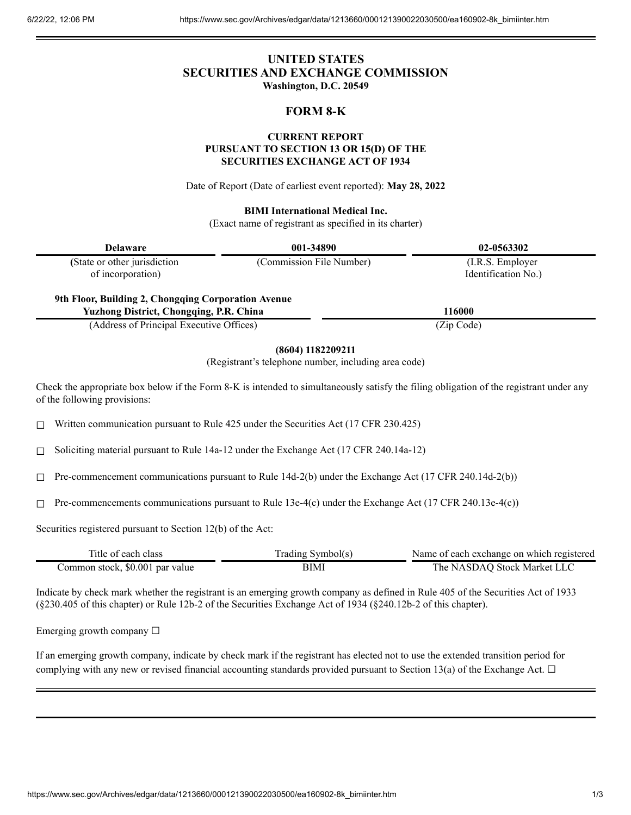# **UNITED STATES SECURITIES AND EXCHANGE COMMISSION Washington, D.C. 20549**

# **FORM 8-K**

#### **CURRENT REPORT PURSUANT TO SECTION 13 OR 15(D) OF THE**

#### **SECURITIES EXCHANGE ACT OF 1934**

Date of Report (Date of earliest event reported): **May 28, 2022**

#### **BIMI International Medical Inc.**

(Exact name of registrant as specified in its charter)

| <b>Delaware</b>                                     | 001-34890                | 02-0563302                               |  |
|-----------------------------------------------------|--------------------------|------------------------------------------|--|
| (State or other jurisdiction<br>of incorporation)   | (Commission File Number) | (I.R.S. Employer)<br>Identification No.) |  |
| 9th Floor, Building 2, Chongqing Corporation Avenue |                          |                                          |  |
| <b>Yuzhong District, Chongqing, P.R. China</b>      |                          | 116000                                   |  |
| (Address of Principal Executive Offices)            |                          | (Zip Code)                               |  |

#### **(8604) 1182209211**

(Registrant's telephone number, including area code)

Check the appropriate box below if the Form 8-K is intended to simultaneously satisfy the filing obligation of the registrant under any of the following provisions:

☐ Written communication pursuant to Rule 425 under the Securities Act (17 CFR 230.425)

 $\Box$  Soliciting material pursuant to Rule 14a-12 under the Exchange Act (17 CFR 240.14a-12)

 $\Box$  Pre-commencement communications pursuant to Rule 14d-2(b) under the Exchange Act (17 CFR 240.14d-2(b))

 $\Box$  Pre-commencements communications pursuant to Rule 13e-4(c) under the Exchange Act (17 CFR 240.13e-4(c))

Securities registered pursuant to Section 12(b) of the Act:

| Title of each class             | Trading Symbol(s) | Name of each exchange on which registered |
|---------------------------------|-------------------|-------------------------------------------|
| Common stock, \$0.001 par value | BIMI              | The NASDAO Stock Market LLC               |

Indicate by check mark whether the registrant is an emerging growth company as defined in Rule 405 of the Securities Act of 1933 (§230.405 of this chapter) or Rule 12b-2 of the Securities Exchange Act of 1934 (§240.12b-2 of this chapter).

Emerging growth company  $\Box$ 

If an emerging growth company, indicate by check mark if the registrant has elected not to use the extended transition period for complying with any new or revised financial accounting standards provided pursuant to Section 13(a) of the Exchange Act.  $\Box$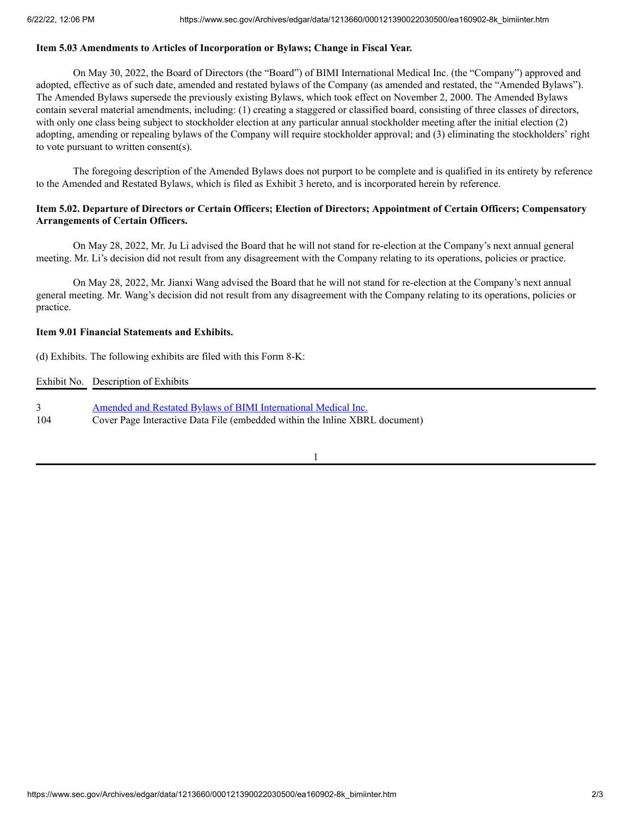### **Item 5.03 Amendments to Articles of Incorporation or Bylaws; Change in Fiscal Year.**

On May 30, 2022, the Board of Directors (the "Board") of BIMI International Medical Inc. (the "Company") approved and adopted, effective as of such date, amended and restated bylaws of the Company (as amended and restated, the "Amended Bylaws"). The Amended Bylaws supersede the previously existing Bylaws, which took effect on November 2, 2000. The Amended Bylaws contain several material amendments, including: (1) creating a staggered or classified board, consisting of three classes of directors, with only one class being subject to stockholder election at any particular annual stockholder meeting after the initial election (2) adopting, amending or repealing bylaws of the Company will require stockholder approval; and (3) eliminating the stockholders' right to vote pursuant to written consent(s).

The foregoing description of the Amended Bylaws does not purport to be complete and is qualified in its entirety by reference to the Amended and Restated Bylaws, which is filed as Exhibit 3 hereto, and is incorporated herein by reference.

## Item 5.02. Departure of Directors or Certain Officers; Election of Directors; Appointment of Certain Officers; Compensatory **Arrangements of Certain Officers.**

On May 28, 2022, Mr. Ju Li advised the Board that he will not stand for re-election at the Company's next annual general meeting. Mr. Li's decision did not result from any disagreement with the Company relating to its operations, policies or practice.

On May 28, 2022, Mr. Jianxi Wang advised the Board that he will not stand for re-election at the Company's next annual general meeting. Mr. Wang's decision did not result from any disagreement with the Company relating to its operations, policies or practice.

### **Item 9.01 Financial Statements and Exhibits.**

(d) Exhibits. The following exhibits are filed with this Form 8-K:

Exhibit No. Description of Exhibits

3 Amended and Restated Bylaws of BIMI [International](https://www.sec.gov/Archives/edgar/data/1213660/000121390022030500/ea160902ex-3_bimiinter.htm) Medical Inc. 104 Cover Page Interactive Data File (embedded within the Inline XBRL document)